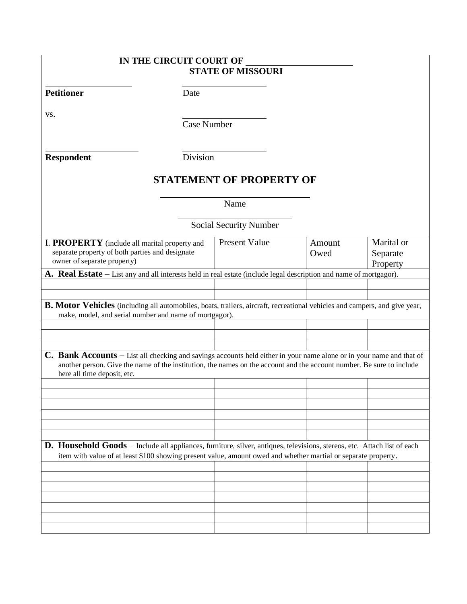| IN THE CIRCUIT COURT OF                                                                                                                                                                                                                           |                                 |        |            |
|---------------------------------------------------------------------------------------------------------------------------------------------------------------------------------------------------------------------------------------------------|---------------------------------|--------|------------|
|                                                                                                                                                                                                                                                   | <b>STATE OF MISSOURI</b>        |        |            |
|                                                                                                                                                                                                                                                   |                                 |        |            |
| <b>Petitioner</b><br>Date                                                                                                                                                                                                                         |                                 |        |            |
| VS.                                                                                                                                                                                                                                               |                                 |        |            |
|                                                                                                                                                                                                                                                   | <b>Case Number</b>              |        |            |
|                                                                                                                                                                                                                                                   |                                 |        |            |
|                                                                                                                                                                                                                                                   |                                 |        |            |
| Division<br><b>Respondent</b>                                                                                                                                                                                                                     |                                 |        |            |
|                                                                                                                                                                                                                                                   | <b>STATEMENT OF PROPERTY OF</b> |        |            |
|                                                                                                                                                                                                                                                   |                                 |        |            |
|                                                                                                                                                                                                                                                   | Name                            |        |            |
|                                                                                                                                                                                                                                                   |                                 |        |            |
|                                                                                                                                                                                                                                                   | Social Security Number          |        |            |
| I. PROPERTY (include all marital property and                                                                                                                                                                                                     | <b>Present Value</b>            | Amount | Marital or |
| separate property of both parties and designate                                                                                                                                                                                                   |                                 | Owed   | Separate   |
| owner of separate property)                                                                                                                                                                                                                       |                                 |        | Property   |
| A. Real Estate – List any and all interests held in real estate (include legal description and name of mortgagor).                                                                                                                                |                                 |        |            |
|                                                                                                                                                                                                                                                   |                                 |        |            |
| B. Motor Vehicles (including all automobiles, boats, trailers, aircraft, recreational vehicles and campers, and give year,                                                                                                                        |                                 |        |            |
| make, model, and serial number and name of mortgagor).                                                                                                                                                                                            |                                 |        |            |
|                                                                                                                                                                                                                                                   |                                 |        |            |
|                                                                                                                                                                                                                                                   |                                 |        |            |
| <b>C. Bank Accounts</b> – List all checking and savings accounts held either in your name alone or in your name and that of                                                                                                                       |                                 |        |            |
| another person. Give the name of the institution, the names on the account and the account number. Be sure to include                                                                                                                             |                                 |        |            |
| here all time deposit, etc.                                                                                                                                                                                                                       |                                 |        |            |
|                                                                                                                                                                                                                                                   |                                 |        |            |
|                                                                                                                                                                                                                                                   |                                 |        |            |
|                                                                                                                                                                                                                                                   |                                 |        |            |
|                                                                                                                                                                                                                                                   |                                 |        |            |
|                                                                                                                                                                                                                                                   |                                 |        |            |
| <b>D. Household Goods</b> – Include all appliances, furniture, silver, antiques, televisions, stereos, etc. Attach list of each<br>item with value of at least \$100 showing present value, amount owed and whether martial or separate property. |                                 |        |            |
|                                                                                                                                                                                                                                                   |                                 |        |            |
|                                                                                                                                                                                                                                                   |                                 |        |            |
|                                                                                                                                                                                                                                                   |                                 |        |            |
|                                                                                                                                                                                                                                                   |                                 |        |            |
|                                                                                                                                                                                                                                                   |                                 |        |            |
|                                                                                                                                                                                                                                                   |                                 |        |            |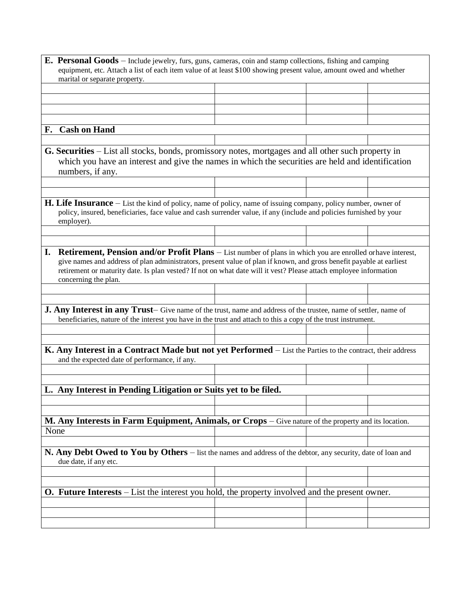| <b>E.</b> Personal Goods – Include jewelry, furs, guns, cameras, coin and stamp collections, fishing and camping        |  |  |  |  |  |
|-------------------------------------------------------------------------------------------------------------------------|--|--|--|--|--|
| equipment, etc. Attach a list of each item value of at least \$100 showing present value, amount owed and whether       |  |  |  |  |  |
| marital or separate property.                                                                                           |  |  |  |  |  |
|                                                                                                                         |  |  |  |  |  |
|                                                                                                                         |  |  |  |  |  |
|                                                                                                                         |  |  |  |  |  |
|                                                                                                                         |  |  |  |  |  |
|                                                                                                                         |  |  |  |  |  |
| F. Cash on Hand                                                                                                         |  |  |  |  |  |
|                                                                                                                         |  |  |  |  |  |
| <b>G. Securities</b> – List all stocks, bonds, promissory notes, mortgages and all other such property in               |  |  |  |  |  |
| which you have an interest and give the names in which the securities are held and identification                       |  |  |  |  |  |
| numbers, if any.                                                                                                        |  |  |  |  |  |
|                                                                                                                         |  |  |  |  |  |
|                                                                                                                         |  |  |  |  |  |
|                                                                                                                         |  |  |  |  |  |
| <b>H. Life Insurance</b> $-$ List the kind of policy, name of policy, name of issuing company, policy number, owner of  |  |  |  |  |  |
| policy, insured, beneficiaries, face value and cash surrender value, if any (include and policies furnished by your     |  |  |  |  |  |
| employer).                                                                                                              |  |  |  |  |  |
|                                                                                                                         |  |  |  |  |  |
|                                                                                                                         |  |  |  |  |  |
| I.<br><b>Retirement, Pension and/or Profit Plans</b> – List number of plans in which you are enrolled or have interest, |  |  |  |  |  |
| give names and address of plan administrators, present value of plan if known, and gross benefit payable at earliest    |  |  |  |  |  |
| retirement or maturity date. Is plan vested? If not on what date will it vest? Please attach employee information       |  |  |  |  |  |
| concerning the plan.                                                                                                    |  |  |  |  |  |
|                                                                                                                         |  |  |  |  |  |
|                                                                                                                         |  |  |  |  |  |
| J. Any Interest in any Trust- Give name of the trust, name and address of the trustee, name of settler, name of         |  |  |  |  |  |
| beneficiaries, nature of the interest you have in the trust and attach to this a copy of the trust instrument.          |  |  |  |  |  |
|                                                                                                                         |  |  |  |  |  |
|                                                                                                                         |  |  |  |  |  |
|                                                                                                                         |  |  |  |  |  |
| K. Any Interest in a Contract Made but not yet Performed - List the Parties to the contract, their address              |  |  |  |  |  |
| and the expected date of performance, if any.                                                                           |  |  |  |  |  |
|                                                                                                                         |  |  |  |  |  |
|                                                                                                                         |  |  |  |  |  |
| L. Any Interest in Pending Litigation or Suits yet to be filed.                                                         |  |  |  |  |  |
|                                                                                                                         |  |  |  |  |  |
|                                                                                                                         |  |  |  |  |  |
|                                                                                                                         |  |  |  |  |  |
|                                                                                                                         |  |  |  |  |  |
| M. Any Interests in Farm Equipment, Animals, or Crops - Give nature of the property and its location.                   |  |  |  |  |  |
| None                                                                                                                    |  |  |  |  |  |
|                                                                                                                         |  |  |  |  |  |
| N. Any Debt Owed to You by Others - list the names and address of the debtor, any security, date of loan and            |  |  |  |  |  |
|                                                                                                                         |  |  |  |  |  |
| due date, if any etc.                                                                                                   |  |  |  |  |  |
|                                                                                                                         |  |  |  |  |  |
|                                                                                                                         |  |  |  |  |  |
| <b>O. Future Interests</b> – List the interest you hold, the property involved and the present owner.                   |  |  |  |  |  |
|                                                                                                                         |  |  |  |  |  |
|                                                                                                                         |  |  |  |  |  |